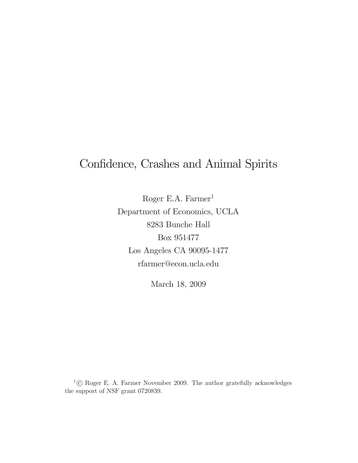# Confidence, Crashes and Animal Spirits

Roger E.A. Farmer<sup>1</sup> Department of Economics, UCLA 8283 Bunche Hall Box 951477 Los Angeles CA 90095-1477 rfarmer@econ.ucla.edu

March 18, 2009

 $1^{\circ}$  Roger E. A. Farmer November 2009. The author gratefully acknowledges the support of NSF grant 0720839.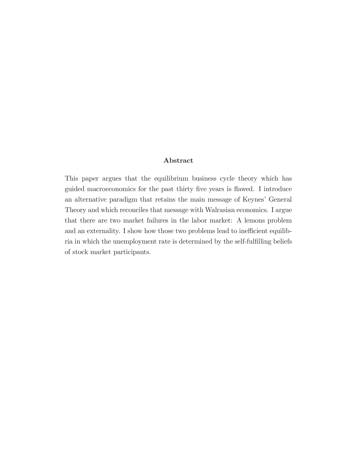#### Abstract

This paper argues that the equilibrium business cycle theory which has guided macroeconomics for the past thirty five years is flawed. I introduce an alternative paradigm that retains the main message of Keynes' General Theory and which reconciles that message with Walrasian economics. I argue that there are two market failures in the labor market: A lemons problem and an externality. I show how those two problems lead to inefficient equilibria in which the unemployment rate is determined by the self-fulfilling beliefs of stock market participants.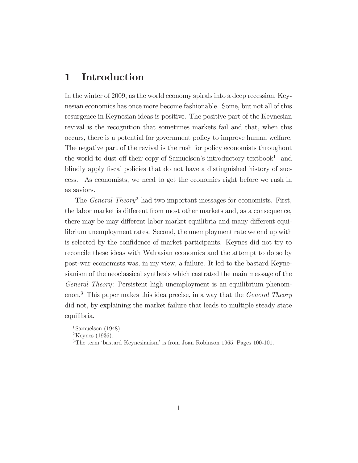### 1 Introduction

In the winter of 2009, as the world economy spirals into a deep recession, Keynesian economics has once more become fashionable. Some, but not all of this resurgence in Keynesian ideas is positive. The positive part of the Keynesian revival is the recognition that sometimes markets fail and that, when this occurs, there is a potential for government policy to improve human welfare. The negative part of the revival is the rush for policy economists throughout the world to dust off their copy of Samuelson's introductory textbook<sup>1</sup> and blindly apply fiscal policies that do not have a distinguished history of success. As economists, we need to get the economics right before we rush in as saviors.

The *General Theory*<sup>2</sup> had two important messages for economists. First, the labor market is different from most other markets and, as a consequence, there may be may different labor market equilibria and many different equilibrium unemployment rates. Second, the unemployment rate we end up with is selected by the confidence of market participants. Keynes did not try to reconcile these ideas with Walrasian economics and the attempt to do so by post-war economists was, in my view, a failure. It led to the bastard Keynesianism of the neoclassical synthesis which castrated the main message of the General Theory: Persistent high unemployment is an equilibrium phenomenon.<sup>3</sup> This paper makes this idea precise, in a way that the *General Theory* did not, by explaining the market failure that leads to multiple steady state equilibria.

<sup>&</sup>lt;sup>1</sup>Samuelson (1948).

 $2$ Keynes (1936).

<sup>&</sup>lt;sup>3</sup>The term 'bastard Keynesianism' is from Joan Robinson 1965, Pages 100-101.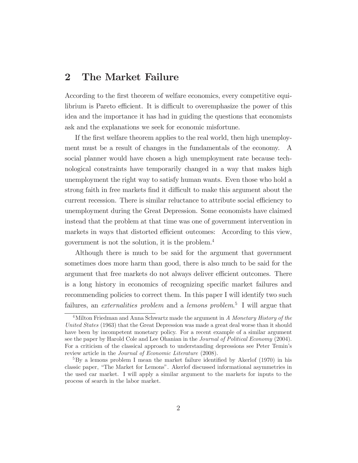#### 2 The Market Failure

According to the first theorem of welfare economics, every competitive equilibrium is Pareto efficient. It is difficult to overemphasize the power of this idea and the importance it has had in guiding the questions that economists ask and the explanations we seek for economic misfortune.

If the first welfare theorem applies to the real world, then high unemployment must be a result of changes in the fundamentals of the economy. A social planner would have chosen a high unemployment rate because technological constraints have temporarily changed in a way that makes high unemployment the right way to satisfy human wants. Even those who hold a strong faith in free markets find it difficult to make this argument about the current recession. There is similar reluctance to attribute social efficiency to unemployment during the Great Depression. Some economists have claimed instead that the problem at that time was one of government intervention in markets in ways that distorted efficient outcomes: According to this view, government is not the solution, it is the problem.4

Although there is much to be said for the argument that government sometimes does more harm than good, there is also much to be said for the argument that free markets do not always deliver efficient outcomes. There is a long history in economics of recognizing specific market failures and recommending policies to correct them. In this paper I will identify two such failures, an *externalities problem* and a *lemons problem*.<sup>5</sup> I will argue that

 $4$ Milton Friedman and Anna Schwartz made the argument in A Monetary History of the United States (1963) that the Great Depression was made a great deal worse than it should have been by incompetent monetary policy. For a recent example of a similar argument see the paper by Harold Cole and Lee Ohanian in the Journal of Political Economy (2004). For a criticism of the classical approach to understanding depressions see Peter Temin's review article in the Journal of Economic Literature (2008).

<sup>&</sup>lt;sup>5</sup>By a lemons problem I mean the market failure identified by Akerlof (1970) in his classic paper, "The Market for Lemons". Akerlof discussed informational asymmetries in the used car market. I will apply a similar argument to the markets for inputs to the process of search in the labor market.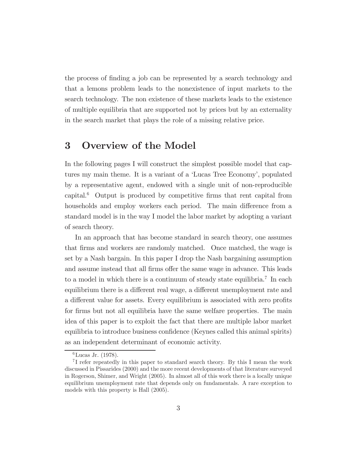the process of finding a job can be represented by a search technology and that a lemons problem leads to the nonexistence of input markets to the search technology. The non existence of these markets leads to the existence of multiple equilibria that are supported not by prices but by an externality in the search market that plays the role of a missing relative price.

## 3 Overview of the Model

In the following pages I will construct the simplest possible model that captures my main theme. It is a variant of a 'Lucas Tree Economy', populated by a representative agent, endowed with a single unit of non-reproducible capital.6 Output is produced by competitive firms that rent capital from households and employ workers each period. The main difference from a standard model is in the way I model the labor market by adopting a variant of search theory.

In an approach that has become standard in search theory, one assumes that firms and workers are randomly matched. Once matched, the wage is set by a Nash bargain. In this paper I drop the Nash bargaining assumption and assume instead that all firms offer the same wage in advance. This leads to a model in which there is a continuum of steady state equilibria.7 In each equilibrium there is a different real wage, a different unemployment rate and a different value for assets. Every equilibrium is associated with zero profits for firms but not all equilibria have the same welfare properties. The main idea of this paper is to exploit the fact that there are multiple labor market equilibria to introduce business confidence (Keynes called this animal spirits) as an independent determinant of economic activity.

<sup>6</sup>Lucas Jr. (1978).

<sup>7</sup> I refer repeatedly in this paper to standard search theory. By this I mean the work discussed in Pissarides (2000) and the more recent developments of that literature surveyed in Rogerson, Shimer, and Wright (2005). In almost all of this work there is a locally unique equilibrium unemployment rate that depends only on fundamentals. A rare exception to models with this property is Hall (2005).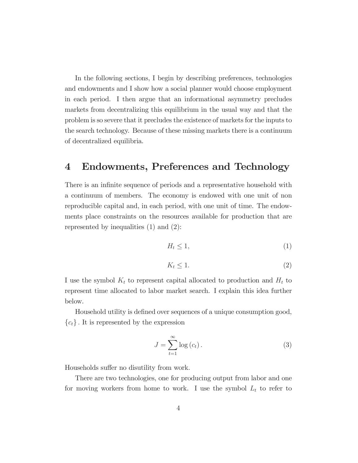In the following sections, I begin by describing preferences, technologies and endowments and I show how a social planner would choose employment in each period. I then argue that an informational asymmetry precludes markets from decentralizing this equilibrium in the usual way and that the problem is so severe that it precludes the existence of markets for the inputs to the search technology. Because of these missing markets there is a continuum of decentralized equilibria.

#### 4 Endowments, Preferences and Technology

There is an infinite sequence of periods and a representative household with a continuum of members. The economy is endowed with one unit of non reproducible capital and, in each period, with one unit of time. The endowments place constraints on the resources available for production that are represented by inequalities (1) and (2):

$$
H_t \le 1,\tag{1}
$$

$$
K_t \le 1. \tag{2}
$$

I use the symbol  $K_t$  to represent capital allocated to production and  $H_t$  to represent time allocated to labor market search. I explain this idea further below.

Household utility is defined over sequences of a unique consumption good,  ${c_t}$ . It is represented by the expression

$$
J = \sum_{t=1}^{\infty} \log(c_t).
$$
 (3)

Households suffer no disutility from work.

There are two technologies, one for producing output from labor and one for moving workers from home to work. I use the symbol  $L_t$  to refer to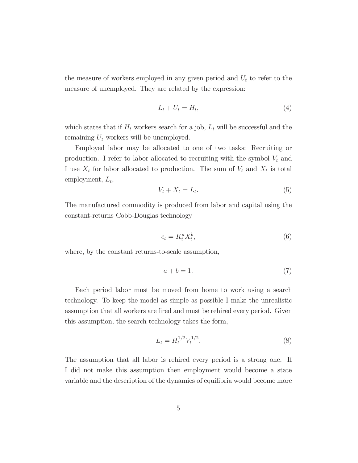the measure of workers employed in any given period and  $U_t$  to refer to the measure of unemployed. They are related by the expression:

$$
L_t + U_t = H_t,\t\t(4)
$$

which states that if  $H_t$  workers search for a job,  $L_t$  will be successful and the remaining  $U_t$  workers will be unemployed.

Employed labor may be allocated to one of two tasks: Recruiting or production. I refer to labor allocated to recruiting with the symbol  $V_t$  and I use  $X_t$  for labor allocated to production. The sum of  $V_t$  and  $X_t$  is total employment,  $L_t$ ,

$$
V_t + X_t = L_t. \tag{5}
$$

The manufactured commodity is produced from labor and capital using the constant-returns Cobb-Douglas technology

$$
c_t = K_t^a X_t^b,\t\t(6)
$$

where, by the constant returns-to-scale assumption,

$$
a + b = 1.\t\t(7)
$$

Each period labor must be moved from home to work using a search technology. To keep the model as simple as possible I make the unrealistic assumption that all workers are fired and must be rehired every period. Given this assumption, the search technology takes the form,

$$
L_t = H_t^{1/2} V_t^{1/2}.
$$
\n(8)

The assumption that all labor is rehired every period is a strong one. If I did not make this assumption then employment would become a state variable and the description of the dynamics of equilibria would become more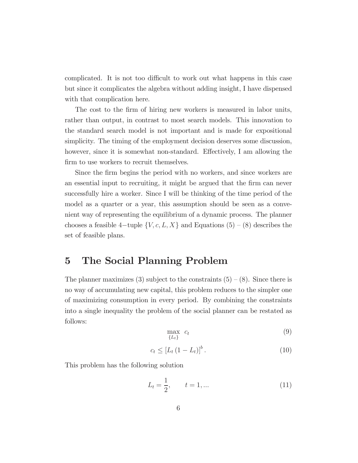complicated. It is not too difficult to work out what happens in this case but since it complicates the algebra without adding insight, I have dispensed with that complication here.

The cost to the firm of hiring new workers is measured in labor units, rather than output, in contrast to most search models. This innovation to the standard search model is not important and is made for expositional simplicity. The timing of the employment decision deserves some discussion, however, since it is somewhat non-standard. Effectively, I am allowing the firm to use workers to recruit themselves.

Since the firm begins the period with no workers, and since workers are an essential input to recruiting, it might be argued that the firm can never successfully hire a worker. Since I will be thinking of the time period of the model as a quarter or a year, this assumption should be seen as a convenient way of representing the equilibrium of a dynamic process. The planner chooses a feasible 4-tuple  $\{V, c, L, X\}$  and Equations (5) – (8) describes the set of feasible plans.

### 5 The Social Planning Problem

The planner maximizes (3) subject to the constraints  $(5) - (8)$ . Since there is no way of accumulating new capital, this problem reduces to the simpler one of maximizing consumption in every period. By combining the constraints into a single inequality the problem of the social planner can be restated as follows:

$$
\max_{\{L_t\}} c_t \tag{9}
$$

$$
c_t \le \left[L_t \left(1 - L_t\right)\right]^b. \tag{10}
$$

This problem has the following solution

$$
L_t = \frac{1}{2}, \qquad t = 1, \dots \tag{11}
$$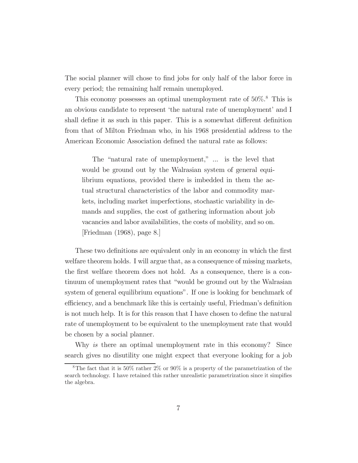The social planner will chose to find jobs for only half of the labor force in every period; the remaining half remain unemployed.

This economy possesses an optimal unemployment rate of  $50\%$ .<sup>8</sup> This is an obvious candidate to represent 'the natural rate of unemployment' and I shall define it as such in this paper. This is a somewhat different definition from that of Milton Friedman who, in his 1968 presidential address to the American Economic Association defined the natural rate as follows:

The "natural rate of unemployment," ... is the level that would be ground out by the Walrasian system of general equilibrium equations, provided there is imbedded in them the actual structural characteristics of the labor and commodity markets, including market imperfections, stochastic variability in demands and supplies, the cost of gathering information about job vacancies and labor availabilities, the costs of mobility, and so on. [Friedman (1968), page 8.]

These two definitions are equivalent only in an economy in which the first welfare theorem holds. I will argue that, as a consequence of missing markets, the first welfare theorem does not hold. As a consequence, there is a continuum of unemployment rates that "would be ground out by the Walrasian system of general equilibrium equations". If one is looking for benchmark of efficiency, and a benchmark like this is certainly useful, Friedman's definition is not much help. It is for this reason that I have chosen to define the natural rate of unemployment to be equivalent to the unemployment rate that would be chosen by a social planner.

Why is there an optimal unemployment rate in this economy? Since search gives no disutility one might expect that everyone looking for a job

<sup>&</sup>lt;sup>8</sup>The fact that it is 50% rather 2% or 90% is a property of the parametrization of the search technology. I have retained this rather unrealistic parametrization since it simpifies the algebra.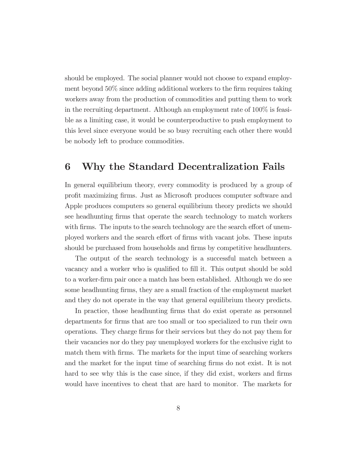should be employed. The social planner would not choose to expand employment beyond 50% since adding additional workers to the firm requires taking workers away from the production of commodities and putting them to work in the recruiting department. Although an employment rate of 100% is feasible as a limiting case, it would be counterproductive to push employment to this level since everyone would be so busy recruiting each other there would be nobody left to produce commodities.

#### 6 Why the Standard Decentralization Fails

In general equilibrium theory, every commodity is produced by a group of profit maximizing firms. Just as Microsoft produces computer software and Apple produces computers so general equilibrium theory predicts we should see headhunting firms that operate the search technology to match workers with firms. The inputs to the search technology are the search effort of unemployed workers and the search effort of firms with vacant jobs. These inputs should be purchased from households and firms by competitive headhunters.

The output of the search technology is a successful match between a vacancy and a worker who is qualified to fill it. This output should be sold to a worker-firm pair once a match has been established. Although we do see some headhunting firms, they are a small fraction of the employment market and they do not operate in the way that general equilibrium theory predicts.

In practice, those headhunting firms that do exist operate as personnel departments for firms that are too small or too specialized to run their own operations. They charge firms for their services but they do not pay them for their vacancies nor do they pay unemployed workers for the exclusive right to match them with firms. The markets for the input time of searching workers and the market for the input time of searching firms do not exist. It is not hard to see why this is the case since, if they did exist, workers and firms would have incentives to cheat that are hard to monitor. The markets for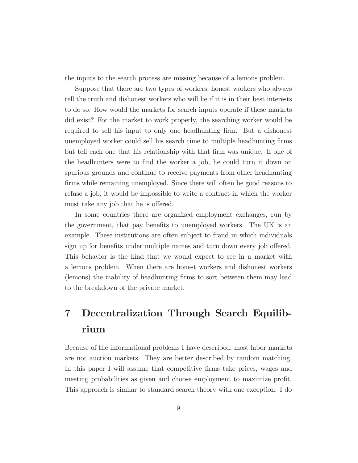the inputs to the search process are missing because of a lemons problem.

Suppose that there are two types of workers; honest workers who always tell the truth and dishonest workers who will lie if it is in their best interests to do so. How would the markets for search inputs operate if these markets did exist? For the market to work properly, the searching worker would be required to sell his input to only one headhunting firm. But a dishonest unemployed worker could sell his search time to multiple headhunting firms but tell each one that his relationship with that firm was unique. If one of the headhunters were to find the worker a job, he could turn it down on spurious grounds and continue to receive payments from other headhunting firms while remaining unemployed. Since there will often be good reasons to refuse a job, it would be impossible to write a contract in which the worker must take any job that he is offered.

In some countries there are organized employment exchanges, run by the government, that pay benefits to unemployed workers. The UK is an example. These institutions are often subject to fraud in which individuals sign up for benefits under multiple names and turn down every job offered. This behavior is the kind that we would expect to see in a market with a lemons problem. When there are honest workers and dishonest workers (lemons) the inability of headhunting firms to sort between them may lead to the breakdown of the private market.

# 7 Decentralization Through Search Equilibrium

Because of the informational problems I have described, most labor markets are not auction markets. They are better described by random matching. In this paper I will assume that competitive firms take prices, wages and meeting probabilities as given and choose employment to maximize profit. This approach is similar to standard search theory with one exception. I do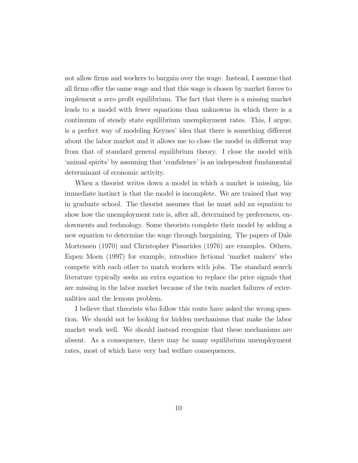not allow firms and workers to bargain over the wage. Instead, I assume that all firms offer the same wage and that this wage is chosen by market forces to implement a zero profit equilibrium. The fact that there is a missing market leads to a model with fewer equations than unknowns in which there is a continuum of steady state equilibrium unemployment rates. This, I argue, is a perfect way of modeling Keynes' idea that there is something different about the labor market and it allows me to close the model in different way from that of standard general equilibrium theory. I close the model with 'animal spirits' by assuming that 'confidence' is an independent fundamental determinant of economic activity.

When a theorist writes down a model in which a market is missing, his immediate instinct is that the model is incomplete. We are trained that way in graduate school. The theorist assumes that he must add an equation to show how the unemployment rate is, after all, determined by preferences, endowments and technology. Some theorists complete their model by adding a new equation to determine the wage through bargaining. The papers of Dale Mortensen (1970) and Christopher Pissarides (1976) are examples. Others, Espen Moen (1997) for example, introduce fictional 'market makers' who compete with each other to match workers with jobs. The standard search literature typically seeks an extra equation to replace the price signals that are missing in the labor market because of the twin market failures of externalities and the lemons problem.

I believe that theorists who follow this route have asked the wrong question. We should not be looking for hidden mechanisms that make the labor market work well. We should instead recognize that these mechanisms are absent. As a consequence, there may be many equilibrium unemployment rates, most of which have very bad welfare consequences.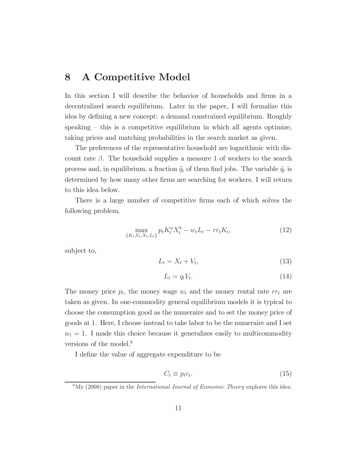#### 8 A Competitive Model

In this section I will describe the behavior of households and firms in a decentralized search equilibrium. Later in the paper, I will formalize this idea by defining a new concept: a demand constrained equilibrium. Roughly speaking — this is a competitive equilibrium in which all agents optimize, taking prices and matching probabilities in the search market as given.

The preferences of the representative household are logarithmic with discount rate β. The household supplies a measure 1 of workers to the search process and, in equilibrium, a fraction  $q_t$  of them find jobs. The variable  $q_t$  is determined by how many other firms are searching for workers. I will return to this idea below.

There is a large number of competitive firms each of which solves the following problem,

$$
\max_{\{K_t, V_t, X_t, L_t\}} p_t K_t^a X_t^b - w_t L_t - r r_t K_t,\tag{12}
$$

subject to,

$$
L_t = X_t + V_t,\tag{13}
$$

$$
L_t = q_t V_t. \tag{14}
$$

The money price  $p_t$ , the money wage  $w_t$  and the money rental rate  $rr_t$  are taken as given. In one-commodity general equilibrium models it is typical to choose the consumption good as the numeraire and to set the money price of goods at 1. Here, I choose instead to take labor to be the numeraire and I set  $w_t = 1$ . I made this choice because it generalizes easily to multicommodity versions of the model.<sup>9</sup>

I define the value of aggregate expenditure to be

$$
C_t \equiv p_t c_t. \tag{15}
$$

 $^{9}$ My (2008) paper in the *International Journal of Economic Theory* explores this idea.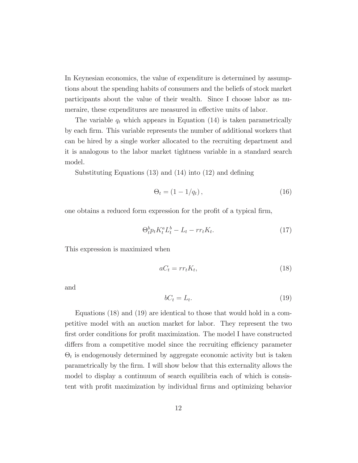In Keynesian economics, the value of expenditure is determined by assumptions about the spending habits of consumers and the beliefs of stock market participants about the value of their wealth. Since I choose labor as numeraire, these expenditures are measured in effective units of labor.

The variable  $q_t$  which appears in Equation (14) is taken parametrically by each firm. This variable represents the number of additional workers that can be hired by a single worker allocated to the recruiting department and it is analogous to the labor market tightness variable in a standard search model.

Substituting Equations (13) and (14) into (12) and defining

$$
\Theta_t = (1 - 1/q_t),\tag{16}
$$

one obtains a reduced form expression for the profit of a typical firm,

$$
\Theta_t^b p_t K_t^a L_t^b - L_t - r r_t K_t. \tag{17}
$$

This expression is maximized when

$$
aC_t = rr_t K_t,\tag{18}
$$

and

$$
bC_t = L_t. \tag{19}
$$

Equations (18) and (19) are identical to those that would hold in a competitive model with an auction market for labor. They represent the two first order conditions for profit maximization. The model I have constructed differs from a competitive model since the recruiting efficiency parameter  $\Theta_t$  is endogenously determined by aggregate economic activity but is taken parametrically by the firm. I will show below that this externality allows the model to display a continuum of search equilibria each of which is consistent with profit maximization by individual firms and optimizing behavior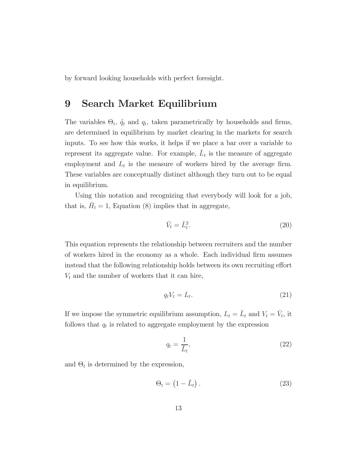by forward looking households with perfect foresight.

### 9 Search Market Equilibrium

The variables  $\Theta_t$ ,  $\tilde{q}_t$  and  $q_t$ , taken parametrically by households and firms, are determined in equilibrium by market clearing in the markets for search inputs. To see how this works, it helps if we place a bar over a variable to represent its aggregate value. For example,  $\bar{L}_t$  is the measure of aggregate employment and  $L_t$  is the measure of workers hired by the average firm. These variables are conceptually distinct although they turn out to be equal in equilibrium.

Using this notation and recognizing that everybody will look for a job, that is,  $H_t = 1$ , Equation (8) implies that in aggregate,

$$
\bar{V}_t = \bar{L}_t^2. \tag{20}
$$

This equation represents the relationship between recruiters and the number of workers hired in the economy as a whole. Each individual firm assumes instead that the following relationship holds between its own recruiting effort  $V_t$  and the number of workers that it can hire,

$$
q_t V_t = L_t. \tag{21}
$$

If we impose the symmetric equilibrium assumption,  $L_t = \overline{L}_t$  and  $V_t = \overline{V}_t$ , it follows that  $q_t$  is related to aggregate employment by the expression

$$
q_t = \frac{1}{\bar{L}_t},\tag{22}
$$

and  $\Theta_t$  is determined by the expression,

$$
\Theta_t = \left(1 - \bar{L}_t\right). \tag{23}
$$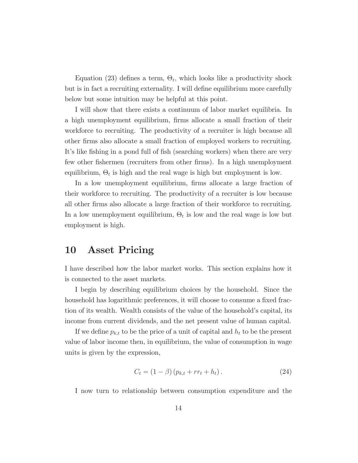Equation (23) defines a term,  $\Theta_t$ , which looks like a productivity shock but is in fact a recruiting externality. I will define equilibrium more carefully below but some intuition may be helpful at this point.

I will show that there exists a continuum of labor market equilibria. In a high unemployment equilibrium, firms allocate a small fraction of their workforce to recruiting. The productivity of a recruiter is high because all other firms also allocate a small fraction of employed workers to recruiting. It's like fishing in a pond full of fish (searching workers) when there are very few other fishermen (recruiters from other firms). In a high unemployment equilibrium,  $\Theta_t$  is high and the real wage is high but employment is low.

In a low unemployment equilibrium, firms allocate a large fraction of their workforce to recruiting. The productivity of a recruiter is low because all other firms also allocate a large fraction of their workforce to recruiting. In a low unemployment equilibrium,  $\Theta_t$  is low and the real wage is low but employment is high.

#### 10 Asset Pricing

I have described how the labor market works. This section explains how it is connected to the asset markets.

I begin by describing equilibrium choices by the household. Since the household has logarithmic preferences, it will choose to consume a fixed fraction of its wealth. Wealth consists of the value of the household's capital, its income from current dividends, and the net present value of human capital.

If we define  $p_{k,t}$  to be the price of a unit of capital and  $h_t$  to be the present value of labor income then, in equilibrium, the value of consumption in wage units is given by the expression,

$$
C_t = (1 - \beta) (p_{k,t} + rr_t + h_t).
$$
 (24)

I now turn to relationship between consumption expenditure and the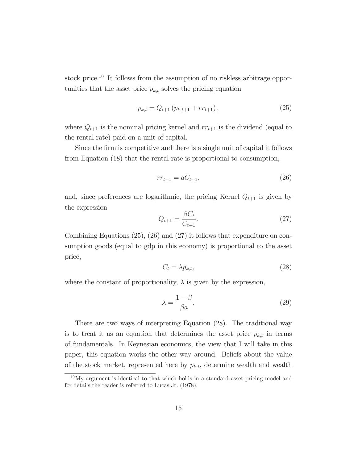stock price.10 It follows from the assumption of no riskless arbitrage opportunities that the asset price  $p_{k,t}$  solves the pricing equation

$$
p_{k,t} = Q_{t+1} \left( p_{k,t+1} + r r_{t+1} \right), \tag{25}
$$

where  $Q_{t+1}$  is the nominal pricing kernel and  $rr_{t+1}$  is the dividend (equal to the rental rate) paid on a unit of capital.

Since the firm is competitive and there is a single unit of capital it follows from Equation (18) that the rental rate is proportional to consumption,

$$
rr_{t+1} = aC_{t+1},\tag{26}
$$

and, since preferences are logarithmic, the pricing Kernel  $Q_{t+1}$  is given by the expression

$$
Q_{t+1} = \frac{\beta C_t}{C_{t+1}}.\t(27)
$$

Combining Equations (25), (26) and (27) it follows that expenditure on consumption goods (equal to gdp in this economy) is proportional to the asset price,

$$
C_t = \lambda p_{k,t},\tag{28}
$$

where the constant of proportionality,  $\lambda$  is given by the expression,

$$
\lambda = \frac{1 - \beta}{\beta a}.\tag{29}
$$

There are two ways of interpreting Equation (28). The traditional way is to treat it as an equation that determines the asset price  $p_{k,t}$  in terms of fundamentals. In Keynesian economics, the view that I will take in this paper, this equation works the other way around. Beliefs about the value of the stock market, represented here by  $p_{k,t}$ , determine wealth and wealth

<sup>10</sup>My argument is identical to that which holds in a standard asset pricing model and for details the reader is referred to Lucas Jr. (1978).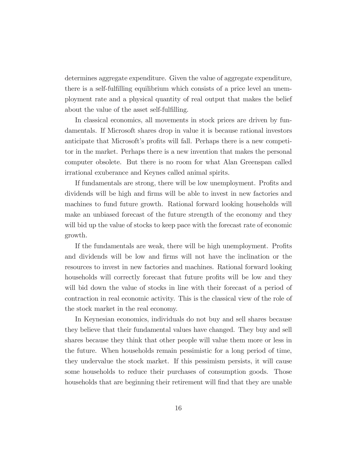determines aggregate expenditure. Given the value of aggregate expenditure, there is a self-fulfilling equilibrium which consists of a price level an unemployment rate and a physical quantity of real output that makes the belief about the value of the asset self-fulfilling.

In classical economics, all movements in stock prices are driven by fundamentals. If Microsoft shares drop in value it is because rational investors anticipate that Microsoft's profits will fall. Perhaps there is a new competitor in the market. Perhaps there is a new invention that makes the personal computer obsolete. But there is no room for what Alan Greenspan called irrational exuberance and Keynes called animal spirits.

If fundamentals are strong, there will be low unemployment. Profits and dividends will be high and firms will be able to invest in new factories and machines to fund future growth. Rational forward looking households will make an unbiased forecast of the future strength of the economy and they will bid up the value of stocks to keep pace with the forecast rate of economic growth.

If the fundamentals are weak, there will be high unemployment. Profits and dividends will be low and firms will not have the inclination or the resources to invest in new factories and machines. Rational forward looking households will correctly forecast that future profits will be low and they will bid down the value of stocks in line with their forecast of a period of contraction in real economic activity. This is the classical view of the role of the stock market in the real economy.

In Keynesian economics, individuals do not buy and sell shares because they believe that their fundamental values have changed. They buy and sell shares because they think that other people will value them more or less in the future. When households remain pessimistic for a long period of time, they undervalue the stock market. If this pessimism persists, it will cause some households to reduce their purchases of consumption goods. Those households that are beginning their retirement will find that they are unable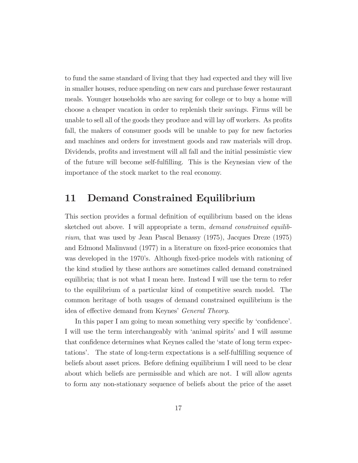to fund the same standard of living that they had expected and they will live in smaller houses, reduce spending on new cars and purchase fewer restaurant meals. Younger households who are saving for college or to buy a home will choose a cheaper vacation in order to replenish their savings. Firms will be unable to sell all of the goods they produce and will lay off workers. As profits fall, the makers of consumer goods will be unable to pay for new factories and machines and orders for investment goods and raw materials will drop. Dividends, profits and investment will all fall and the initial pessimistic view of the future will become self-fulfilling. This is the Keynesian view of the importance of the stock market to the real economy.

### 11 Demand Constrained Equilibrium

This section provides a formal definition of equilibrium based on the ideas sketched out above. I will appropriate a term, demand constrained equilibrium, that was used by Jean Pascal Benassy (1975), Jacques Dreze (1975) and Edmond Malinvaud (1977) in a literature on fixed-price economics that was developed in the 1970's. Although fixed-price models with rationing of the kind studied by these authors are sometimes called demand constrained equilibria; that is not what I mean here. Instead I will use the term to refer to the equilibrium of a particular kind of competitive search model. The common heritage of both usages of demand constrained equilibrium is the idea of effective demand from Keynes' General Theory.

In this paper I am going to mean something very specific by 'confidence'. I will use the term interchangeably with 'animal spirits' and I will assume that confidence determines what Keynes called the 'state of long term expectations'. The state of long-term expectations is a self-fulfilling sequence of beliefs about asset prices. Before defining equilibrium I will need to be clear about which beliefs are permissible and which are not. I will allow agents to form any non-stationary sequence of beliefs about the price of the asset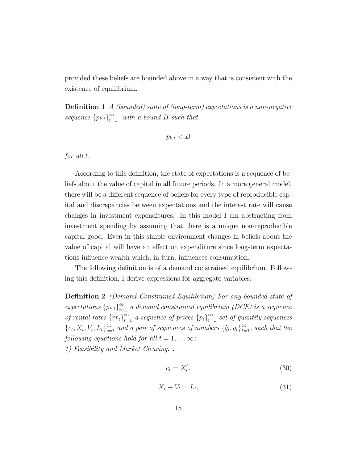provided these beliefs are bounded above in a way that is consistent with the existence of equilibrium.

**Definition 1** A (bounded) state of (long-term) expectations is a non-negative sequence  ${p_{k,t}}_{t=1}^{\infty}$  with a bound B such that

$$
p_{k,t}
$$

for all t.

According to this definition, the state of expectations is a sequence of beliefs about the value of capital in all future periods. In a more general model, there will be a different sequence of beliefs for every type of reproducible capital and discrepancies between expectations and the interest rate will cause changes in investment expenditures. In this model I am abstracting from investment spending by assuming that there is a unique non-reproducible capital good. Even in this simple environment changes in beliefs about the value of capital will have an effect on expenditure since long-term expectations influence wealth which, in turn, influences consumption.

The following definition is of a demand constrained equilibrium. Following this definition, I derive expressions for aggregate variables.

Definition 2 (Demand Constrained Equilibrium) For any bounded state of expectations  ${p_{k,t}}_{t=1}^{\infty}$  a demand constrained equilibrium (DCE) is a sequence of rental rates  $\{rr_t\}_{t=1}^{\infty}$  a sequence of prices  $\{p_t\}_{t=1}^{\infty}$  set of quantity sequences  ${c_t, X_t, V_t, L_t}_{s=t}^{\infty}$  and a pair of sequences of numbers  ${\{\tilde{q}_t, q_t\}}_{t=1}^{\infty}$ , such that the following equations hold for all  $t = 1, \ldots \infty$ :

1) Feasibility and Market Clearing. ,

$$
c_t = X_t^b,\tag{30}
$$

$$
X_t + V_t = L_t,\tag{31}
$$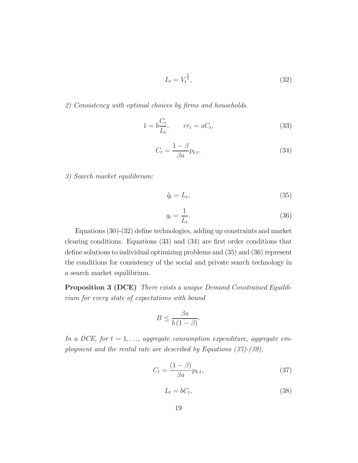$$
L_t = V_t^{\frac{1}{2}},\tag{32}
$$

#### 2) Consistency with optimal choices by firms and households.

$$
1 = b \frac{C_t}{L_t}, \qquad rr_t = aC_t,\tag{33}
$$

$$
C_t = \frac{1 - \beta}{\beta a} p_{k,t}.
$$
\n(34)

3) Search market equilibrium:

$$
\tilde{q}_t = L_t,\tag{35}
$$

$$
q_t = \frac{1}{L_t}.\tag{36}
$$

Equations (30)-(32) define technologies, adding up constraints and market clearing conditions. Equations (33) and (34) are first order conditions that define solutions to individual optimizing problems and (35) and (36) represent the conditions for consistency of the social and private search technology in a search market equilibrium.

Proposition 3 (DCE) There exists a unique Demand Constrained Equilibrium for every state of expectations with bound

$$
B \le \frac{\beta a}{b(1-\beta)}.
$$

In a DCE, for  $t = 1, \ldots$ , aggregate consumption expenditure, aggregate employment and the rental rate are described by Equations (37)-(39),

$$
C_t = \frac{(1 - \beta)}{\beta a} p_{k,t},\tag{37}
$$

$$
L_t = bC_t,\tag{38}
$$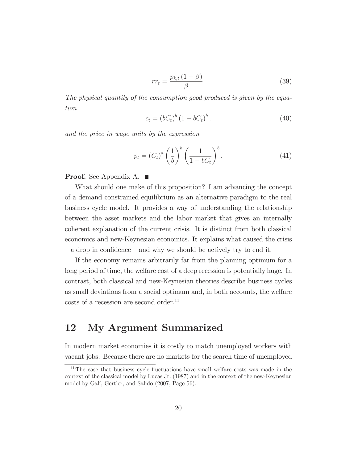$$
rr_t = \frac{p_{k,t} \left(1 - \beta\right)}{\beta}.
$$
\n(39)

The physical quantity of the consumption good produced is given by the equation

$$
c_t = (bC_t)^b (1 - bC_t)^b.
$$
 (40)

and the price in wage units by the expression

$$
p_t = \left(C_t\right)^a \left(\frac{1}{b}\right)^b \left(\frac{1}{1 - bC_t}\right)^b. \tag{41}
$$

#### **Proof.** See Appendix A. ■

What should one make of this proposition? I am advancing the concept of a demand constrained equilibrium as an alternative paradigm to the real business cycle model. It provides a way of understanding the relationship between the asset markets and the labor market that gives an internally coherent explanation of the current crisis. It is distinct from both classical economics and new-Keynesian economics. It explains what caused the crisis — a drop in confidence — and why we should be actively try to end it.

If the economy remains arbitrarily far from the planning optimum for a long period of time, the welfare cost of a deep recession is potentially huge. In contrast, both classical and new-Keynesian theories describe business cycles as small deviations from a social optimum and, in both accounts, the welfare  $\text{costs}$  of a recession are second order.<sup>11</sup>

#### 12 My Argument Summarized

In modern market economies it is costly to match unemployed workers with vacant jobs. Because there are no markets for the search time of unemployed

<sup>&</sup>lt;sup>11</sup>The case that business cycle fluctuations have small welfare costs was made in the context of the classical model by Lucas Jr. (1987) and in the context of the new-Keynesian model by Galí, Gertler, and Salido (2007, Page 56).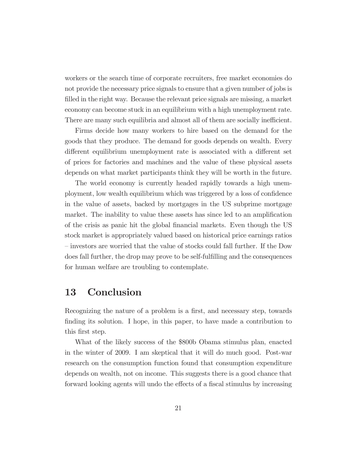workers or the search time of corporate recruiters, free market economies do not provide the necessary price signals to ensure that a given number of jobs is filled in the right way. Because the relevant price signals are missing, a market economy can become stuck in an equilibrium with a high unemployment rate. There are many such equilibria and almost all of them are socially inefficient.

Firms decide how many workers to hire based on the demand for the goods that they produce. The demand for goods depends on wealth. Every different equilibrium unemployment rate is associated with a different set of prices for factories and machines and the value of these physical assets depends on what market participants think they will be worth in the future.

The world economy is currently headed rapidly towards a high unemployment, low wealth equilibrium which was triggered by a loss of confidence in the value of assets, backed by mortgages in the US subprime mortgage market. The inability to value these assets has since led to an amplification of the crisis as panic hit the global financial markets. Even though the US stock market is appropriately valued based on historical price earnings ratios — investors are worried that the value of stocks could fall further. If the Dow does fall further, the drop may prove to be self-fulfilling and the consequences for human welfare are troubling to contemplate.

#### 13 Conclusion

Recognizing the nature of a problem is a first, and necessary step, towards finding its solution. I hope, in this paper, to have made a contribution to this first step.

What of the likely success of the \$800b Obama stimulus plan, enacted in the winter of 2009. I am skeptical that it will do much good. Post-war research on the consumption function found that consumption expenditure depends on wealth, not on income. This suggests there is a good chance that forward looking agents will undo the effects of a fiscal stimulus by increasing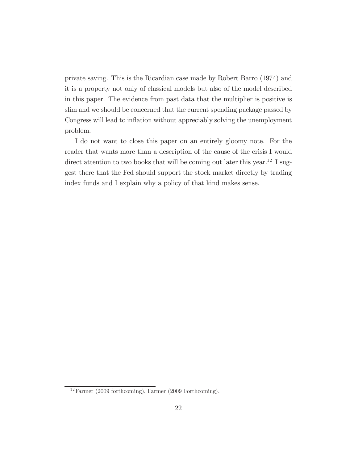private saving. This is the Ricardian case made by Robert Barro (1974) and it is a property not only of classical models but also of the model described in this paper. The evidence from past data that the multiplier is positive is slim and we should be concerned that the current spending package passed by Congress will lead to inflation without appreciably solving the unemployment problem.

I do not want to close this paper on an entirely gloomy note. For the reader that wants more than a description of the cause of the crisis I would direct attention to two books that will be coming out later this year.<sup>12</sup> I suggest there that the Fed should support the stock market directly by trading index funds and I explain why a policy of that kind makes sense.

 $12$ Farmer (2009 forthcoming), Farmer (2009 Forthcoming).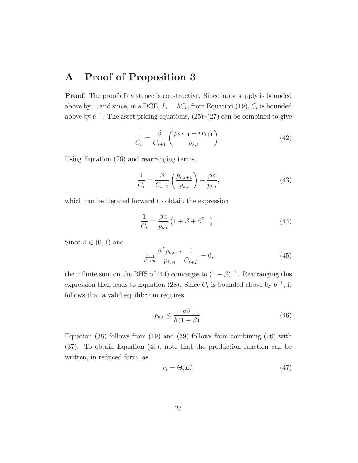## A Proof of Proposition 3

**Proof.** The proof of existence is constructive. Since labor supply is bounded above by 1, and since, in a DCE,  $L_t = bC_t$ , from Equation (19),  $C_t$  is bounded above by  $b^{-1}$ . The asset pricing equations,  $(25)-(27)$  can be combined to give

$$
\frac{1}{C_t} = \frac{\beta}{C_{t+1}} \left( \frac{p_{k,t+1} + rr_{t+1}}{p_{k,t}} \right). \tag{42}
$$

Using Equation (26) and rearranging terms,

$$
\frac{1}{C_t} = \frac{\beta}{C_{t+1}} \left( \frac{p_{k,t+1}}{p_{k,t}} \right) + \frac{\beta a}{p_{k,t}},
$$
\n(43)

which can be iterated forward to obtain the expression

$$
\frac{1}{C_t} = \frac{\beta a}{p_{k,t}} \left( 1 + \beta + \beta^2 ... \right).
$$
 (44)

Since  $\beta \in (0,1)$  and

$$
\lim_{T \to \infty} \frac{\beta^T p_{k,t+T}}{p_{k,st}} \frac{1}{C_{t+T}} = 0,
$$
\n(45)

the infinite sum on the RHS of (44) converges to  $(1 - \beta)^{-1}$ . Rearranging this expression then leads to Equation (28). Since  $C_t$  is bounded above by  $b^{-1}$ , it follows that a valid equilibrium requires

$$
p_{k,t} \le \frac{a\beta}{b(1-\beta)}.\tag{46}
$$

Equation (38) follows from (19) and (39) follows from combining (26) with (37). To obtain Equation (40), note that the production function can be written, in reduced form, as

$$
c_t = \Theta_t^b L_t^b,\tag{47}
$$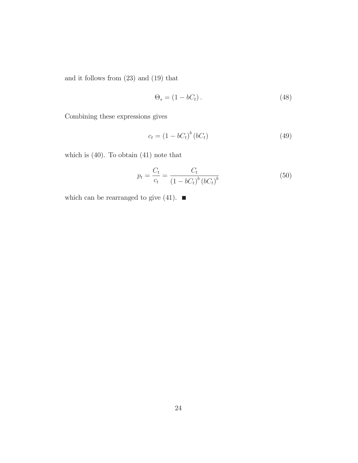and it follows from (23) and (19) that

$$
\Theta_s = (1 - bC_t). \tag{48}
$$

Combining these expressions gives

$$
c_t = \left(1 - bC_t\right)^b \left(bC_t\right) \tag{49}
$$

which is (40). To obtain (41) note that

$$
p_t = \frac{C_t}{c_t} = \frac{C_t}{(1 - bC_t)^b (bC_t)^b}
$$
\n(50)

which can be rearranged to give (41).  $\blacksquare$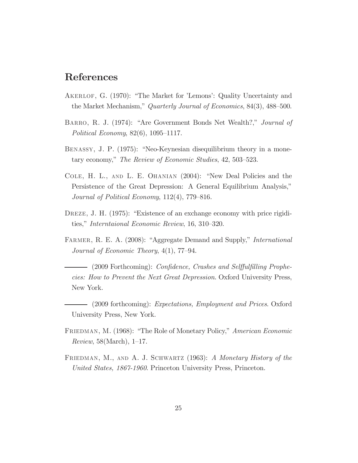### References

- Akerlof, G. (1970): "The Market for 'Lemons': Quality Uncertainty and the Market Mechanism," Quarterly Journal of Economics, 84(3), 488—500.
- Barro, R. J. (1974): "Are Government Bonds Net Wealth?," Journal of Political Economy, 82(6), 1095—1117.
- Benassy, J. P. (1975): "Neo-Keynesian disequilibrium theory in a monetary economy," The Review of Economic Studies, 42, 503—523.
- Cole, H. L., and L. E. Ohanian (2004): "New Deal Policies and the Persistence of the Great Depression: A General Equilibrium Analysis," Journal of Political Economy, 112(4), 779—816.
- DREZE, J. H. (1975): "Existence of an exchange economy with price rigidities," Interntaional Economic Review, 16, 310—320.
- FARMER, R. E. A. (2008): "Aggregate Demand and Supply," *International* Journal of Economic Theory, 4(1), 77—94.
	- (2009 Forthcoming): Confidence, Crashes and Selffulfilling Prophecies: How to Prevent the Next Great Depression. Oxford University Press, New York.
- (2009 forthcoming): Expectations, Employment and Prices. Oxford University Press, New York.
- FRIEDMAN, M. (1968): "The Role of Monetary Policy," American Economic Review, 58(March), 1—17.
- FRIEDMAN, M., AND A. J. SCHWARTZ (1963): A Monetary History of the United States, 1867-1960. Princeton University Press, Princeton.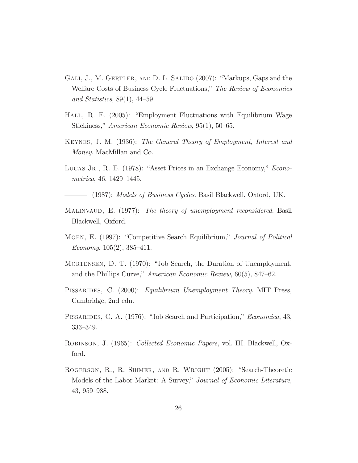- GALÍ, J., M. GERTLER, AND D. L. SALIDO (2007): "Markups, Gaps and the Welfare Costs of Business Cycle Fluctuations," The Review of Economics and Statistics, 89(1), 44—59.
- Hall, R. E. (2005): "Employment Fluctuations with Equilibrium Wage Stickiness," American Economic Review, 95(1), 50—65.
- Keynes, J. M. (1936): The General Theory of Employment, Interest and Money. MacMillan and Co.
- LUCAS JR., R. E. (1978): "Asset Prices in an Exchange Economy," *Econo*metrica, 46, 1429—1445.

- (1987): Models of Business Cycles. Basil Blackwell, Oxford, UK.

- MALINVAUD, E. (1977): The theory of unemployment reconsidered. Basil Blackwell, Oxford.
- Moen, E. (1997): "Competitive Search Equilibrium," Journal of Political Economy, 105(2), 385—411.
- Mortensen, D. T. (1970): "Job Search, the Duration of Unemployment, and the Phillips Curve," American Economic Review, 60(5), 847—62.
- PISSARIDES, C. (2000): Equilibrium Unemployment Theory. MIT Press, Cambridge, 2nd edn.
- PISSARIDES, C. A. (1976): "Job Search and Participation," *Economica*, 43, 333—349.
- Robinson, J. (1965): Collected Economic Papers, vol. III. Blackwell, Oxford.
- Rogerson, R., R. Shimer, and R. Wright (2005): "Search-Theoretic Models of the Labor Market: A Survey," Journal of Economic Literature, 43, 959—988.